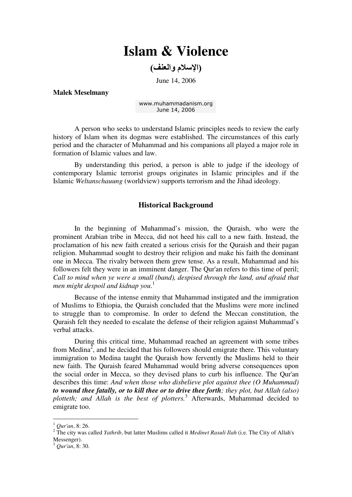# **Islam & Violence**

(الإسلام والعنف)

June 14, 2006

**Malek Meselmany** 

[www.muhammadanism.org](http://www.muhammadanism.org/default.htm) June 14, 2006

A person who seeks to understand Islamic principles needs to review the early history of Islam when its dogmas were established. The circumstances of this early period and the character of Muhammad and his companions all played a major role in formation of Islamic values and law.

By understanding this period, a person is able to judge if the ideology of contemporary Islamic terrorist groups originates in Islamic principles and if the Islamic *Weltanschauung* (worldview) supports terrorism and the Jihad ideology.

## **Historical Background**

In the beginning of Muhammad's mission, the Quraish, who were the prominent Arabian tribe in Mecca, did not heed his call to a new faith. Instead, the proclamation of his new faith created a serious crisis for the Quraish and their pagan religion. Muhammad sought to destroy their religion and make his faith the dominant one in Mecca. The rivalry between them grew tense. As a result, Muhammad and his followers felt they were in an imminent danger. The Qur'an refers to this time of peril; *Call to mind when ye were a small (band), despised through the land, and afraid that men might despoil and kidnap you*. 1

Because of the intense enmity that Muhammad instigated and the immigration of Muslims to Ethiopia, the Quraish concluded that the Muslims were more inclined to struggle than to compromise. In order to defend the Meccan constitution, the Quraish felt they needed to escalate the defense of their religion against Muhammad's verbal attacks.

During this critical time, Muhammad reached an agreement with some tribes from Medina<sup>2</sup>, and he decided that his followers should emigrate there. This voluntary immigration to Medina taught the Quraish how fervently the Muslims held to their new faith. The Quraish feared Muhammad would bring adverse consequences upon the social order in Mecca, so they devised plans to curb his influence. The Qur'an describes this time: *And when those who disbelieve plot against thee (O Muhammad) to wound thee fatally, or to kill thee or to drive thee forth; they plot, but Allah (also) plotteth; and Allah is the best of plotters.*<sup>3</sup> Afterwards, Muhammad decided to emigrate too.

<sup>1</sup> *Qur'an*, 8: 26.

<sup>&</sup>lt;sup>2</sup> The city was called *Yathrib*, but latter Muslims called it *Medinet Rasuli Ilah* (i.e. The City of Allah's Messenger).

<sup>3</sup> *Qur'an*, 8: 30.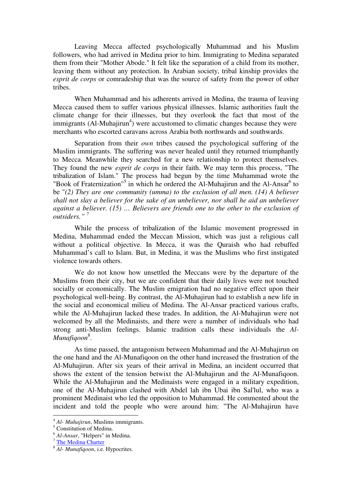Leaving Mecca affected psychologically Muhammad and his Muslim followers, who had arrived in Medina prior to him. Immigrating to Medina separated them from their "Mother Abode." It felt like the separation of a child from its mother, leaving them without any protection. In Arabian society, tribal kinship provides the *esprit de corps* or comradeship that was the source of safety from the power of other tribes.

When Muhammad and his adherents arrived in Medina, the trauma of leaving Mecca caused them to suffer various physical illnesses. Islamic authorities fault the climate change for their illnesses, but they overlook the fact that most of the immigrants  $(AI-Muhajirun<sup>4</sup>)$  were accustomed to climatic changes because they were merchants who escorted caravans across Arabia both northwards and southwards.

Separation from their *own* tribes caused the psychological suffering of the Muslim immigrants. The suffering was never healed until they returned triumphantly to Mecca. Meanwhile they searched for a new relationship to protect themselves. They found the new *esprit de corps* in their faith. We may term this process, "The tribalization of Islam." The process had begun by the time Muhammad wrote the "Book of Fraternization"<sup>5</sup> in which he ordered the Al-Muhajirun and the Al-Ansar<sup>6</sup> to be "*(2) They are one community (umma) to the exclusion of all men. (14) A believer shall not slay a believer for the sake of an unbeliever, nor shall he aid an unbeliever against a believer. (15) … Believers are friends one to the other to the exclusion of outsiders."* <sup>7</sup>

While the process of tribalization of the Islamic movement progressed in Medina, Muhammad ended the Meccan Mission, which was just a religious call without a political objective. In Mecca, it was the Ouraish who had rebuffed Muhammad's call to Islam. But, in Medina, it was the Muslims who first instigated violence towards others.

We do not know how unsettled the Meccans were by the departure of the Muslims from their city, but we are confident that their daily lives were not touched socially or economically. The Muslim emigration had no negative effect upon their psychological well-being. By contrast, the Al-Muhajirun had to establish a new life in the social and economical milieu of Medina. The Al-Ansar practiced various crafts, while the Al-Muhajirun lacked these trades. In addition, the Al-Muhajirun were not welcomed by all the Medinaists, and there were a number of individuals who had strong anti-Muslim feelings. Islamic tradition calls these individuals the *Al-Munafiqoon*<sup>8</sup> .

As time passed, the antagonism between Muhammad and the Al-Muhajirun on the one hand and the Al-Munafiqoon on the other hand increased the frustration of the Al-Muhajirun. After six years of their arrival in Medina, an incident occurred that shows the extent of the tension betwixt the Al-Muhajirun and the Al-Munafiqoon. While the Al-Muhajirun and the Medinaists were engaged in a military expedition, one of the Al-Muhajirun clashed with Abdel lah ibn Ubai ibn Sal'lul, who was a prominent Medinaist who led the opposition to Muhammad. He commented about the incident and told the people who were around him: "The Al-Muhajirun have

<sup>4</sup> *Al- Muhajirun*, Muslims immigrants.

<sup>5</sup> Constitution of Medina.

<sup>6</sup> *Al-Ansar*, "Helpers" in Medina.

<sup>7</sup> [The Medina Charter](http://www.constitution.org/cons/medina/con_medina.htm)

<sup>8</sup> *Al- Munafiqoon*, i.e. Hypocrites.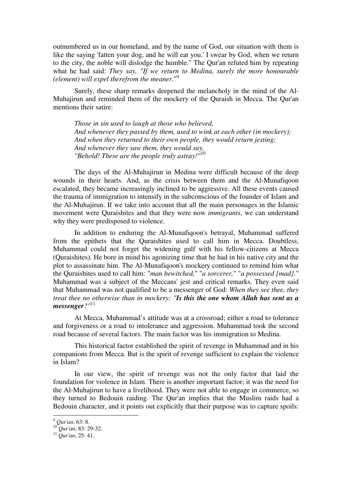outnumbered us in our homeland, and by the name of God, our situation with them is like the saying 'fatten your dog, and he will eat you.' I swear by God, when we return to the city, the noble will dislodge the humble." The Qur'an refuted him by repeating what he had said: *They say, "If we return to Medina, surely the more honourable (element) will expel therefrom the meaner.*" 9

Surely, these sharp remarks deepened the melancholy in the mind of the Al-Muhajirun and reminded them of the mockery of the Quraish in Mecca. The Qur'an mentions their satire:

*Those in sin used to laugh at those who believed, And whenever they passed by them, used to wink at each other (in mockery); And when they returned to their own people, they would return jesting; And whenever they saw them, they would say, "Behold! These are the people truly astray!"*<sup>10</sup>

The days of the Al-Muhajirun in Medina were difficult because of the deep wounds in their hearts. And, as the crisis between them and the Al-Munafiqoon escalated, they became increasingly inclined to be aggressive. All these events caused the trauma of immigration to intensify in the subconscious of the founder of Islam and the Al-Muhajirun. If we take into account that all the main personages in the Islamic movement were Quraishites and that they were now *immigrants*, we can understand why they were predisposed to violence.

In addition to enduring the Al-Munafiqoon's betrayal, Muhammad suffered from the epithets that the Quraishites used to call him in Mecca. Doubtless, Muhammad could not forget the widening gulf with his fellow-citizens at Mecca (Quraishites). He bore in mind his agonizing time that he had in his native city and the plot to assassinate him. The Al-Munafiqoon's mockery continued to remind him what the Quraishites used to call him: "*man bewitched,*" "*a sorcerer,*" "*a possessed [mad].*" Muhammad was a subject of the Meccans' jest and critical remarks. They even said that Muhammad was not qualified to be a messenger of God: *When they see thee, they treat thee no otherwise than in mockery: "Is this the one whom Allah has sent as a messenger?"*<sup>11</sup>

At Mecca, Muhammad's attitude was at a crossroad; either a road to tolerance and forgiveness or a road to intolerance and aggression. Muhammad took the second road because of several factors. The main factor was his immigration to Medina.

This historical factor established the spirit of revenge in Muhammad and in his companions from Mecca. But is the spirit of revenge sufficient to explain the violence in Islam?

In our view, the spirit of revenge was not the only factor that laid the foundation for violence in Islam. There is another important factor; it was the need for the Al-Muhajirun to have a livelihood. They were not able to engage in commerce, so they turned to Bedouin raiding. The Qur'an implies that the Muslim raids had a Bedouin character, and it points out explicitly that their purpose was to capture spoils:

<sup>9</sup> *Qur'an*, 63: 8.

<sup>10</sup> *Qur'an*, 83: 29-32.

<sup>11</sup> *Qur'an*, 25: 41.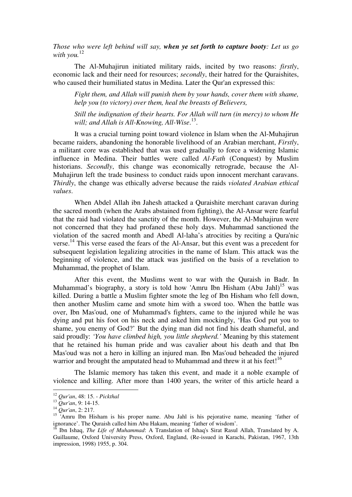*Those who were left behind will say, when ye set forth to capture booty: Let us go*  with you.<sup>12</sup>

The Al-Muhajirun initiated military raids, incited by two reasons: *firstly*, economic lack and their need for resources; *secondly*, their hatred for the Quraishites, who caused their humiliated status in Medina. Later the Qur'an expressed this:

*Fight them, and Allah will punish them by your hands, cover them with shame, help you (to victory) over them, heal the breasts of Believers,* 

*Still the indignation of their hearts. For Allah will turn (in mercy) to whom He will; and Allah is All-Knowing, All-Wise*. 13 .

It was a crucial turning point toward violence in Islam when the Al-Muhajirun became raiders, abandoning the honorable livelihood of an Arabian merchant, *Firstly*, a militant core was established that was used gradually to force a widening Islamic influence in Medina. Their battles were called *Al-Fath* (Conquest) by Muslim historians. *Secondly*, this change was economically retrograde, because the Al-Muhajirun left the trade business to conduct raids upon innocent merchant caravans. *Thirdly*, the change was ethically adverse because the raids *violated Arabian ethical values*.

When Abdel Allah ibn Jahesh attacked a Quraishite merchant caravan during the sacred month (when the Arabs abstained from fighting), the Al-Ansar were fearful that the raid had violated the sanctity of the month. However, the Al-Muhajirun were not concerned that they had profaned these holy days. Muhammad sanctioned the violation of the sacred month and Abedl Al-laha's atrocities by reciting a Qura'nic verse. <sup>14</sup> This verse eased the fears of the Al-Ansar, but this event was a precedent for subsequent legislation legalizing atrocities in the name of Islam. This attack was the beginning of violence, and the attack was justified on the basis of a revelation to Muhammad, the prophet of Islam.

After this event, the Muslims went to war with the Quraish in Badr. In Muhammad's biography, a story is told how 'Amru Ibn Hisham (Abu Jahl)<sup>15</sup> was killed. During a battle a Muslim fighter smote the leg of Ibn Hisham who fell down, then another Muslim came and smote him with a sword too. When the battle was over, Ibn Mas'oud, one of Muhammad's fighters, came to the injured while he was dying and put his foot on his neck and asked him mockingly, 'Has God put you to shame, you enemy of God?' But the dying man did not find his death shameful, and said proudly: *'You have climbed high, you little shepherd.'* Meaning by this statement that he retained his human pride and was cavalier about his death and that Ibn Mas'oud was not a hero in killing an injured man. Ibn Mas'oud beheaded the injured warrior and brought the amputated head to Muhammad and threw it at his feet!<sup>16</sup>

The Islamic memory has taken this event, and made it a noble example of violence and killing. After more than 1400 years, the writer of this article heard a

<sup>12</sup> *Qur'an*, 48: 15. - *Pickthal*

<sup>13</sup> *Qur'an*, 9: 14-15.

<sup>14</sup> *Qur'an*, 2: 217.

 $15$  'Amru Ibn Hisham is his proper name. Abu Jahl is his pejorative name, meaning 'father of ignorance'. The Quraish called him Abu Hakam, meaning 'father of wisdom'.

<sup>16</sup> Ibn Ishaq, *The Life of Muhammad*: A Translation of Ishaq's Sirat Rasul Allah, Translated by A. Guillaume, Oxford University Press, Oxford, England, (Re-issued in Karachi, Pakistan, 1967, 13th impression, 1998) 1955, p. 304.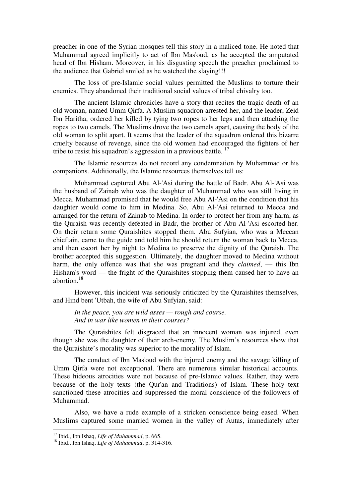preacher in one of the Syrian mosques tell this story in a maliced tone. He noted that Muhammad agreed implicitly to act of Ibn Mas'oud, as he accepted the amputated head of Ibn Hisham. Moreover, in his disgusting speech the preacher proclaimed to the audience that Gabriel smiled as he watched the slaying!!!

The loss of pre-Islamic social values permitted the Muslims to torture their enemies. They abandoned their traditional social values of tribal chivalry too.

The ancient Islamic chronicles have a story that recites the tragic death of an old woman, named Umm Qirfa. A Muslim squadron arrested her, and the leader, Zeid Ibn Haritha, ordered her killed by tying two ropes to her legs and then attaching the ropes to two camels. The Muslims drove the two camels apart, causing the body of the old woman to split apart. It seems that the leader of the squadron ordered this bizarre cruelty because of revenge, since the old women had encouraged the fighters of her tribe to resist his squadron's aggression in a previous battle.  $17$ 

The Islamic resources do not record any condemnation by Muhammad or his companions. Additionally, the Islamic resources themselves tell us:

Muhammad captured Abu Al-'Asi during the battle of Badr. Abu Al-'Asi was the husband of Zainab who was the daughter of Muhammad who was still living in Mecca. Muhammad promised that he would free Abu Al-'Asi on the condition that his daughter would come to him in Medina. So, Abu Al-'Asi returned to Mecca and arranged for the return of Zainab to Medina. In order to protect her from any harm, as the Quraish was recently defeated in Badr, the brother of Abu Al-'Asi escorted her. On their return some Quraishites stopped them. Abu Sufyian, who was a Meccan chieftain, came to the guide and told him he should return the woman back to Mecca, and then escort her by night to Medina to preserve the dignity of the Quraish. The brother accepted this suggestion. Ultimately, the daughter moved to Medina without harm, the only offence was that she was pregnant and they *claimed*, — this Ibn Hisham's word — the fright of the Quraishites stopping them caused her to have an abortion $18$ 

However, this incident was seriously criticized by the Quraishites themselves, and Hind bent 'Utbah, the wife of Abu Sufyian, said:

*In the peace, you are wild asses — rough and course. And in war like women in their courses?* 

The Quraishites felt disgraced that an innocent woman was injured, even though she was the daughter of their arch-enemy. The Muslim's resources show that the Quraishite's morality was superior to the morality of Islam.

The conduct of Ibn Mas'oud with the injured enemy and the savage killing of Umm Qirfa were not exceptional. There are numerous similar historical accounts. These hideous atrocities were not because of pre-Islamic values. Rather, they were because of the holy texts (the Qur'an and Traditions) of Islam. These holy text sanctioned these atrocities and suppressed the moral conscience of the followers of Muhammad.

Also, we have a rude example of a stricken conscience being eased. When Muslims captured some married women in the valley of Autas, immediately after

<sup>17</sup> Ibid., Ibn Ishaq, *Life of Muhammad*, p. 665.

<sup>18</sup> Ibid., Ibn Ishaq, *Life of Muhammad*, p. 314-316.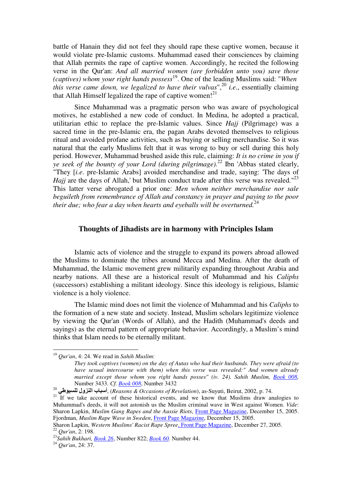battle of Hanain they did not feel they should rape these captive women, because it would violate pre-Islamic customs. Muhammad eased their consciences by claiming that Allah permits the rape of captive women. Accordingly, he recited the following verse in the Qur'an: *And all married women (are forbidden unto you) save those (captives) whom your right hands possess*<sup>19</sup>. One of the leading Muslims said: "*When this verse came down, we legalized to have their vulvas*",<sup>20</sup> *i.e*., essentially claiming that Allah Himself legalized the rape of captive women!<sup>21</sup>

Since Muhammad was a pragmatic person who was aware of psychological motives, he established a new code of conduct. In Medina, he adopted a practical, utilitarian ethic to replace the pre-Islamic values. Since *Hajj* (Pilgrimage) was a sacred time in the pre-Islamic era, the pagan Arabs devoted themselves to religious ritual and avoided profane activities, such as buying or selling merchandise. So it was natural that the early Muslims felt that it was wrong to buy or sell during this holy period. However, Muhammad brushed aside this rule, claiming: *It is no crime in you if ye seek of the bounty of your Lord (during pilgrimage).*<sup>22</sup> Ibn 'Abbas stated clearly, "They [*i.e*. pre-Islamic Arabs] avoided merchandise and trade, saying: 'The days of *Hajj* are the days of Allah,' but Muslim conduct trade after this verse was revealed."<sup>23</sup> This latter verse abrogated a prior one: *Men whom neither merchandise nor sale beguileth from remembrance of Allah and constancy in prayer and paying to the poor their due; who fear a day when hearts and eyeballs will be overturned.*<sup>24</sup>

## **Thoughts of Jihadists are in harmony with Principles Islam**

Islamic acts of violence and the struggle to expand its powers abroad allowed the Muslims to dominate the tribes around Mecca and Medina. After the death of Muhammad, the Islamic movement grew militarily expanding throughout Arabia and nearby nations. All these are a historical result of Muhammad and his *Caliphs* (successors) establishing a militant ideology. Since this ideology is religious, Islamic violence is a holy violence.

The Islamic mind does not limit the violence of Muhammad and his *Caliphs* to the formation of a new state and society. Instead, Muslim scholars legitimize violence by viewing the Qur'an (Words of Allah), and the Hadith (Muhammad's deeds and sayings) as the eternal pattern of appropriate behavior. Accordingly, a Muslim's mind thinks that Islam needs to be eternally militant.

<sup>19</sup> *Qur'an*, 4: 24. We read in *Sahih Muslim*:

*They took captives (women) on the day of Autas who had their husbands. They were afraid (to have sexual intercourse with them) when this verse was revealed:" And women already married except those whom you right hands posses" (iv. 24). Sahih Muslim, [Book 008,](http://www.usc.edu/dept/MSA/fundamentals/hadithsunnah/muslim/008.smt.html)* Number 3433. *Cf. [Book 008](http://www.usc.edu/dept/MSA/fundamentals/hadithsunnah/muslim/008.smt.html)*, Number 3432

<sup>&</sup>lt;sup>20</sup> أسباب النزول للسيوطي, *Reasons & Occasions of Revelation*), as-Suyuti, Beirut, 2002, p. 74.

<sup>&</sup>lt;sup>21</sup> If we take account of these historical events, and we know that Muslims draw analogies to Muhammad's deeds, it will not astonish us the Muslim criminal wave in West against Women. *Vide*: [Sharon Lapkin](http://www.frontpagemag.com/Articles/authors.asp?ID=3473), *Muslim Gang Rapes and the Aussie Riots*, *[Front Page Magazine](http://www.frontpagemag.com/index.asp)*, December 15, 2005. [Fjordman](http://www.frontpagemag.com/Articles/authors.asp?ID=3476), *Muslim Rape Wave in Sweden*, [Front Page Magazine](http://www.frontpagemag.com/index.asp), December 15, 2005.

[Sharon Lapkin](http://www.frontpagemag.com/Articles/authors.asp?ID=3473), *[Western Muslims' Racist Rape Spree](http://www.frontpagemag.com/Articles/ReadArticle.asp?ID=20646)*[, Front Page Magazine,](http://www.frontpagemag.com/index.asp) December 27, 2005. <sup>22</sup> *Qur'an*, 2: 198.

<sup>23</sup>*Sahih Bukhari, [Book 26](http://www.usc.edu/dept/MSA/fundamentals/hadithsunnah/bukhari/026.sbt.html)*, Number 822; *[Book 60.](http://www.usc.edu/dept/MSA/fundamentals/hadithsunnah/bukhari/060.sbt.html)* Number 44.

<sup>24</sup> *Qur'an*, 24: 37.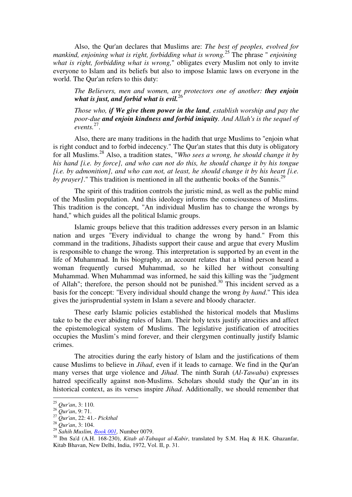Also, the Qur'an declares that Muslims are: *The best of peoples, evolved for mankind, enjoining what is right, forbidding what is wrong.*<sup>25</sup> The phrase " *enjoining what is right, forbidding what is wrong,*" obligates every Muslim not only to invite everyone to Islam and its beliefs but also to impose Islamic laws on everyone in the world. The Qur'an refers to this duty:

*The Believers, men and women, are protectors one of another: they enjoin what is just, and forbid what is evil.*<sup>26</sup>

*Those who, if We give them power in the land, establish worship and pay the poor-due and enjoin kindness and forbid iniquity. And Allah's is the sequel of events.*<sup>27</sup> .

Also, there are many traditions in the hadith that urge Muslims to "enjoin what is right conduct and to forbid indecency." The Qur'an states that this duty is obligatory for all Muslims.<sup>28</sup> Also, a tradition states, "*Who sees a wrong, he should change it by his hand [i.e. by force], and who can not do this, he should change it by his tongue [i.e. by admonition], and who can not, at least, he should change it by his heart [i.e. by prayer]*." This tradition is mentioned in all the authentic books of the Sunnis.<sup>29</sup>

The spirit of this tradition controls the juristic mind, as well as the public mind of the Muslim population. And this ideology informs the consciousness of Muslims. This tradition is the concept, "An individual Muslim has to change the wrongs by hand," which guides all the political Islamic groups.

Islamic groups believe that this tradition addresses every person in an Islamic nation and urges "Every individual to change the wrong by hand." From this command in the traditions, Jihadists support their cause and argue that every Muslim is responsible to change the wrong. This interpretation is supported by an event in the life of Muhammad. In his biography, an account relates that a blind person heard a woman frequently cursed Muhammad, so he killed her without consulting Muhammad. When Muhammad was informed, he said this killing was the "judgment of Allah"; therefore, the person should not be punished.<sup>30</sup> This incident served as a basis for the concept: "Every individual should change the wrong *by hand*." This idea gives the jurisprudential system in Islam a severe and bloody character.

These early Islamic policies established the historical models that Muslims take to be the ever abiding rules of Islam. Their holy texts justify atrocities and affect the epistemological system of Muslims. The legislative justification of atrocities occupies the Muslim's mind forever, and their clergymen continually justify Islamic crimes.

The atrocities during the early history of Islam and the justifications of them cause Muslims to believe in *Jihad*, even if it leads to carnage. We find in the Qur'an many verses that urge violence and *Jihad*. The ninth Surah (*Al-Tawaba*) expresses hatred specifically against non-Muslims. Scholars should study the Qur'an in its historical context, as its verses inspire *Jihad*. Additionally, we should remember that

<sup>25</sup> *Qur'an*, 3: 110.

<sup>26</sup> *Qur'an*, 9: 71.

<sup>27</sup> *Qur'an*, 22: 41.- *Pickthal* 

<sup>28</sup> *Qur'an*, 3: 104.

<sup>29</sup> *Sahih Muslim, [Book 001,](http://www.usc.edu/dept/MSA/fundamentals/hadithsunnah/muslim/001.smt.html)* Number 0079.

<sup>30</sup> Ibn Sa'd (A.H. 168-230), *Kitab al-Tabaqat al-Kabir*, translated by S.M. Haq & H.K. Ghazanfar, Kitab Bhavan, New Delhi, India, 1972, Vol. II, p. 31.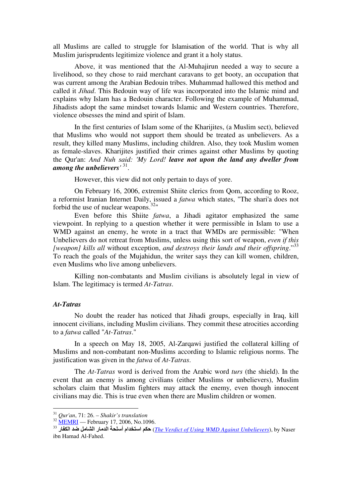all Muslims are called to struggle for Islamisation of the world. That is why all Muslim jurisprudents legitimize violence and grant it a holy status.

Above, it was mentioned that the Al-Muhajirun needed a way to secure a livelihood, so they chose to raid merchant caravans to get booty, an occupation that was current among the Arabian Bedouin tribes. Muhammad hallowed this method and called it *Jihad*. This Bedouin way of life was incorporated into the Islamic mind and explains why Islam has a Bedouin character. Following the example of Muhammad, Jihadists adopt the same mindset towards Islamic and Western countries. Therefore, violence obsesses the mind and spirit of Islam.

In the first centuries of Islam some of the Kharijites, (a Muslim sect), believed that Muslims who would not support them should be treated as unbelievers. As a result, they killed many Muslims, including children. Also, they took Muslim women as female-slaves. Kharijites justified their crimes against other Muslims by quoting the Qur'an: *And Nuh said: 'My Lord! leave not upon the land any dweller from among the unbelievers'* <sup>31</sup> .

However, this view did not only pertain to days of yore.

On February 16, 2006, extremist Shiite clerics from Qom, according to Rooz, a reformist Iranian Internet Daily, issued a *fatwa* which states, "The shari'a does not forbid the use of nuclear weapons. $32$ "

Even before this Shiite *fatwa*, a Jihadi agitator emphasized the same viewpoint. In replying to a question whether it were permissible in Islam to use a WMD against an enemy, he wrote in a tract that WMDs are permissible: "When Unbelievers do not retreat from Muslims, unless using this sort of weapon, *even if this [weapon] kills all* without exception, *and destroys their lands and their offspring*."<sup>33</sup> To reach the goals of the Mujahidun, the writer says they can kill women, children, even Muslims who live among unbelievers.

Killing non-combatants and Muslim civilians is absolutely legal in view of Islam. The legitimacy is termed *At-Tatras*.

### *At-Tatras*

 $\overline{a}$ 

No doubt the reader has noticed that Jihadi groups, especially in Iraq, kill innocent civilians, including Muslim civilians. They commit these atrocities according to a *fatwa* called "*At-Tatras*."

In a speech on May 18, 2005, Al-Zarqawi justified the collateral killing of Muslims and non-combatant non-Muslims according to Islamic religious norms. The justification was given in the *fatwa* of *At-Tatras*.

The *At-Tatras* word is derived from the Arabic word *turs* (the shield). In the event that an enemy is among civilians (either Muslims or unbelievers), Muslim scholars claim that Muslim fighters may attack the enemy, even though innocent civilians may die. This is true even when there are Muslim children or women.

<sup>31</sup> *Qur'an*, 71: 26. – *Shakir's translation*

 $32$  [MEMRI](http://memri.org/bin/articles.cgi?Page=archives&Area=sd&ID=SP109606) — February 17, 2006, No.1096.

<sup>&</sup>lt;sup>33</sup> رحكم استخدام أسلحة الدمار الشامل ضد الكفار (*The Verdict of <u>Using WMD Against Unbelievers</u>), by Naser* ibn Hamad Al-Fahed.